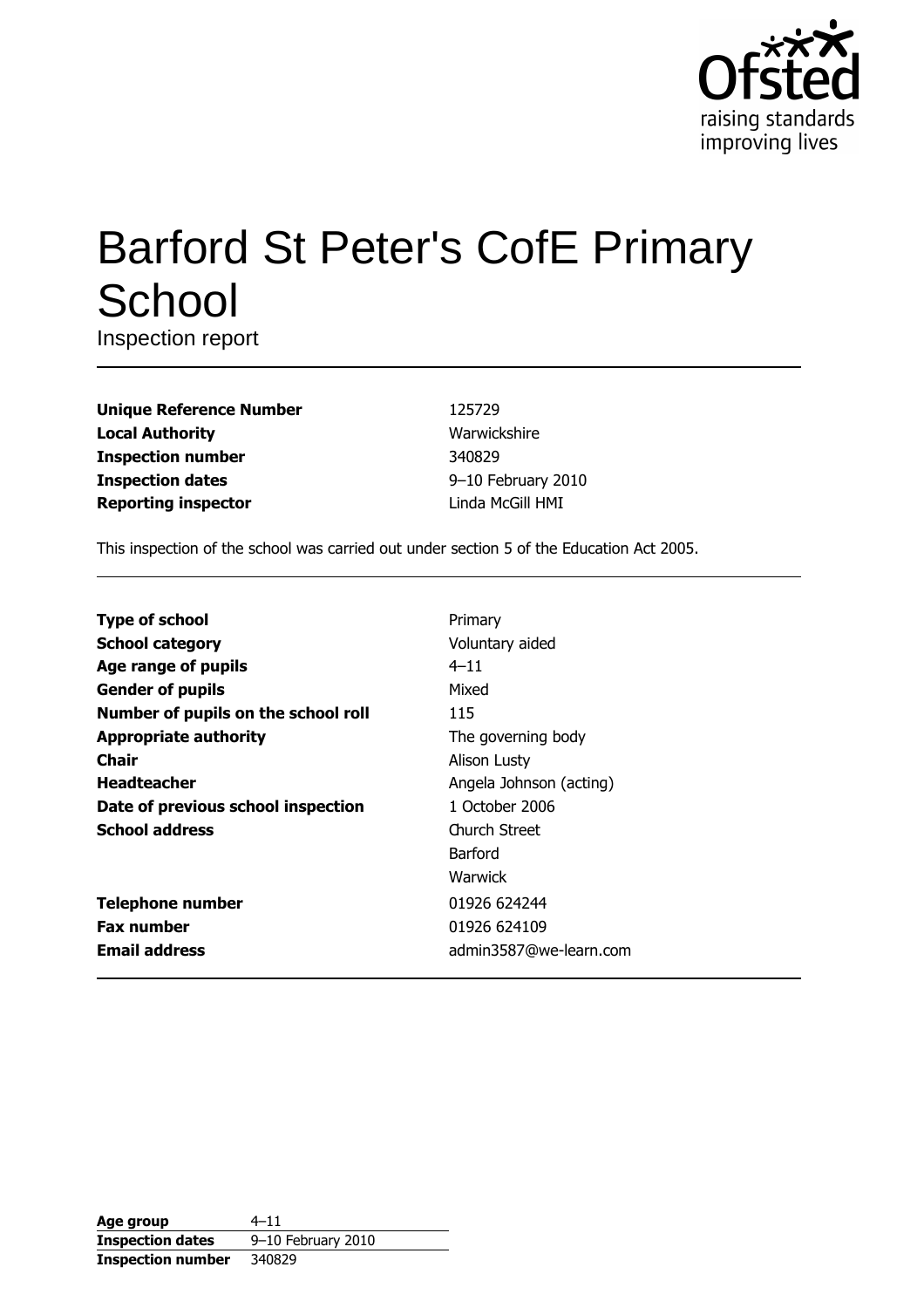

# **Barford St Peter's CofE Primary** School

Inspection report

| <b>Unique Reference Number</b> |
|--------------------------------|
| <b>Local Authority</b>         |
| <b>Inspection number</b>       |
| <b>Inspection dates</b>        |
| <b>Reporting inspector</b>     |

125729 Warwickshire 340829 9-10 February 2010 Linda McGill HMI

This inspection of the school was carried out under section 5 of the Education Act 2005.

| <b>Type of school</b>               | Primary                 |
|-------------------------------------|-------------------------|
| <b>School category</b>              | Voluntary aided         |
| Age range of pupils                 | $4 - 11$                |
| <b>Gender of pupils</b>             | Mixed                   |
| Number of pupils on the school roll | 115                     |
| <b>Appropriate authority</b>        | The governing body      |
| Chair                               | Alison Lusty            |
| <b>Headteacher</b>                  | Angela Johnson (acting) |
| Date of previous school inspection  | 1 October 2006          |
| <b>School address</b>               | <b>Church Street</b>    |
|                                     | Barford                 |
|                                     | <b>Warwick</b>          |
| <b>Telephone number</b>             | 01926 624244            |
| <b>Fax number</b>                   | 01926 624109            |
| <b>Email address</b>                | admin3587@we-learn.com  |

| Age group                | $4 - 11$           |
|--------------------------|--------------------|
| <b>Inspection dates</b>  | 9-10 February 2010 |
| <b>Inspection number</b> | 340829             |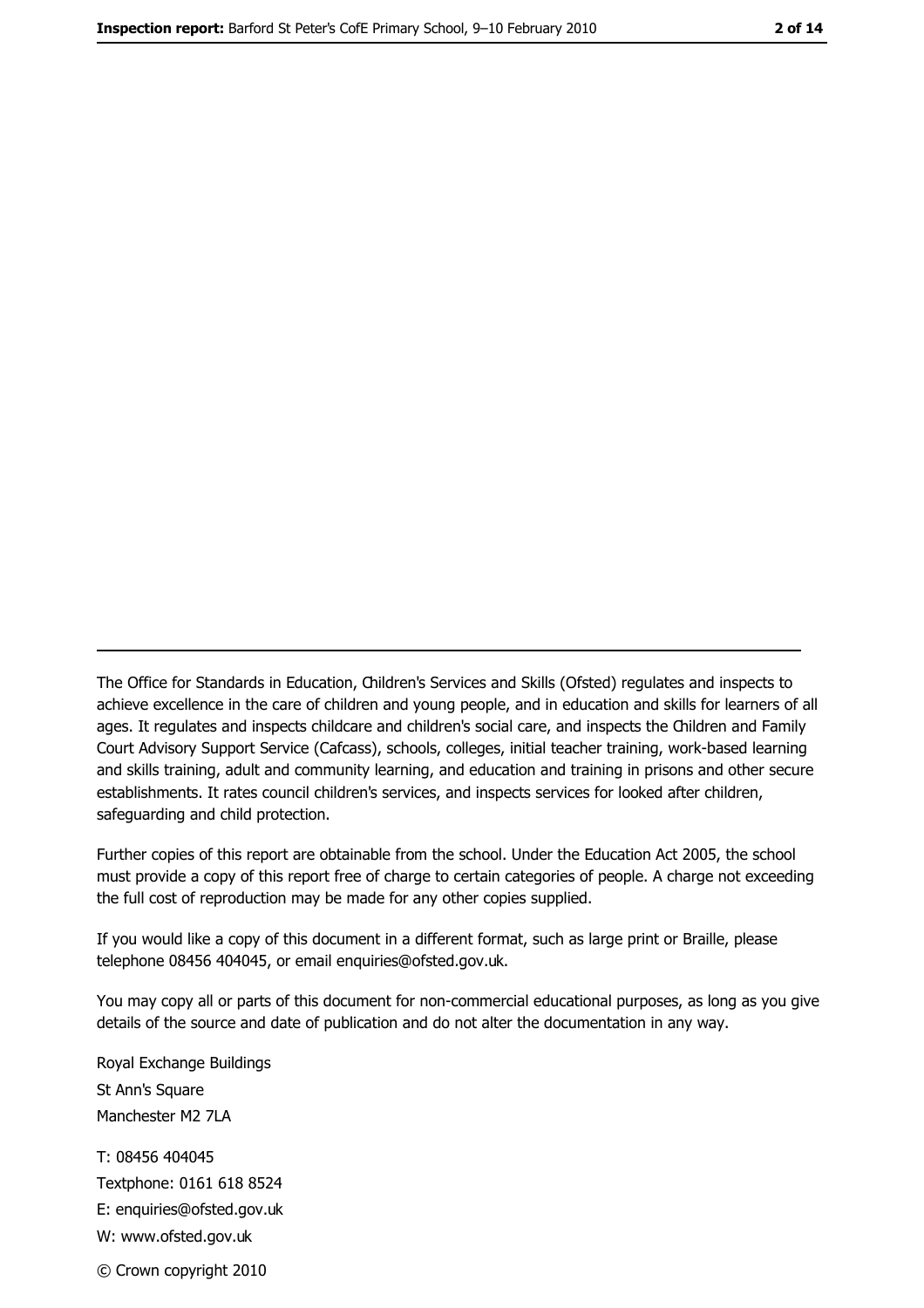The Office for Standards in Education, Children's Services and Skills (Ofsted) regulates and inspects to achieve excellence in the care of children and young people, and in education and skills for learners of all ages. It regulates and inspects childcare and children's social care, and inspects the Children and Family Court Advisory Support Service (Cafcass), schools, colleges, initial teacher training, work-based learning and skills training, adult and community learning, and education and training in prisons and other secure establishments. It rates council children's services, and inspects services for looked after children, safequarding and child protection.

Further copies of this report are obtainable from the school. Under the Education Act 2005, the school must provide a copy of this report free of charge to certain categories of people. A charge not exceeding the full cost of reproduction may be made for any other copies supplied.

If you would like a copy of this document in a different format, such as large print or Braille, please telephone 08456 404045, or email enquiries@ofsted.gov.uk.

You may copy all or parts of this document for non-commercial educational purposes, as long as you give details of the source and date of publication and do not alter the documentation in any way.

Royal Exchange Buildings St Ann's Square Manchester M2 7LA T: 08456 404045 Textphone: 0161 618 8524 E: enquiries@ofsted.gov.uk W: www.ofsted.gov.uk © Crown copyright 2010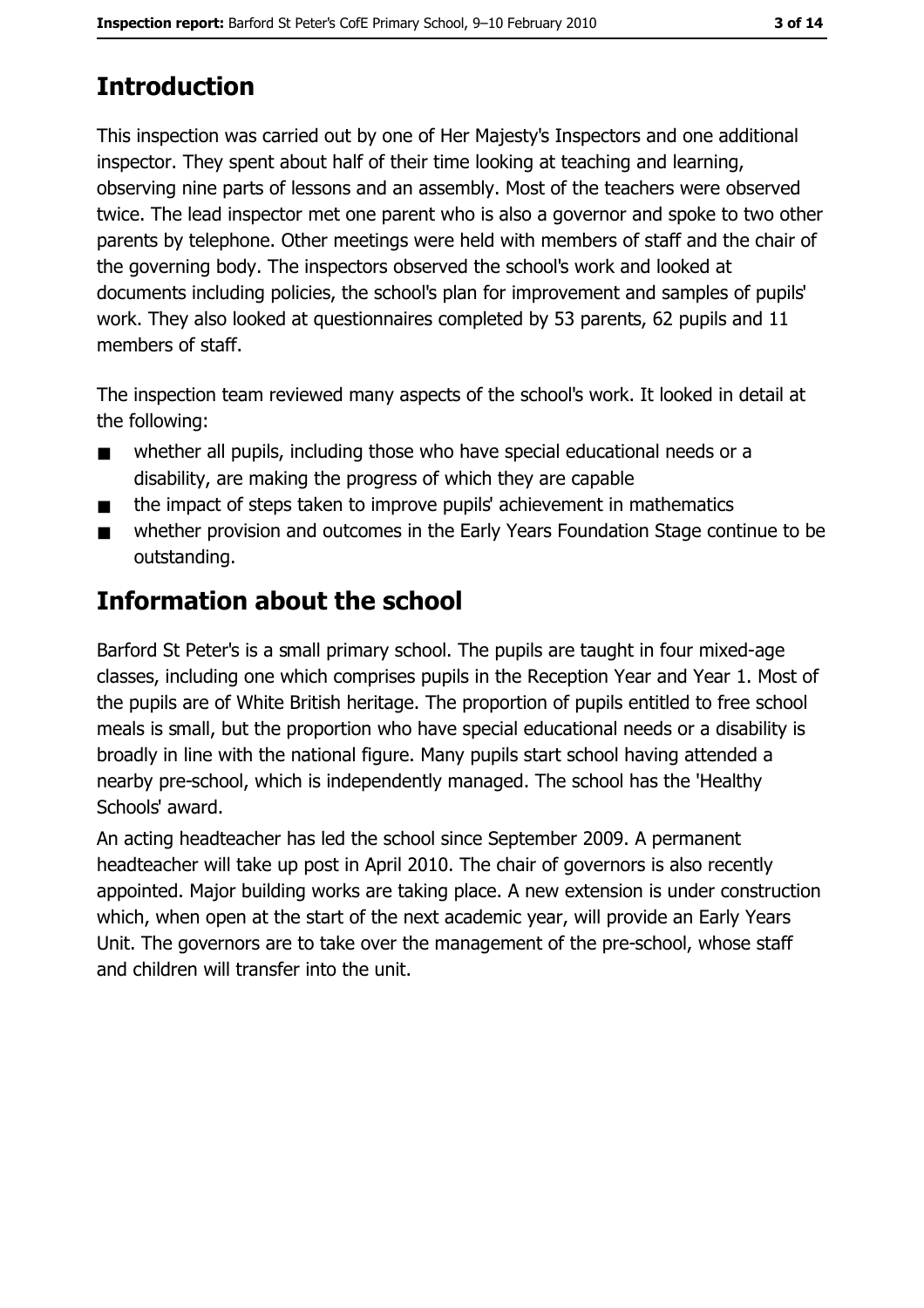# **Introduction**

This inspection was carried out by one of Her Majesty's Inspectors and one additional inspector. They spent about half of their time looking at teaching and learning, observing nine parts of lessons and an assembly. Most of the teachers were observed twice. The lead inspector met one parent who is also a governor and spoke to two other parents by telephone. Other meetings were held with members of staff and the chair of the governing body. The inspectors observed the school's work and looked at documents including policies, the school's plan for improvement and samples of pupils' work. They also looked at questionnaires completed by 53 parents, 62 pupils and 11 members of staff.

The inspection team reviewed many aspects of the school's work. It looked in detail at the following:

- whether all pupils, including those who have special educational needs or a  $\blacksquare$ disability, are making the progress of which they are capable
- the impact of steps taken to improve pupils' achievement in mathematics  $\blacksquare$
- whether provision and outcomes in the Early Years Foundation Stage continue to be  $\blacksquare$ outstanding.

# **Information about the school**

Barford St Peter's is a small primary school. The pupils are taught in four mixed-age classes, including one which comprises pupils in the Reception Year and Year 1. Most of the pupils are of White British heritage. The proportion of pupils entitled to free school meals is small, but the proportion who have special educational needs or a disability is broadly in line with the national figure. Many pupils start school having attended a nearby pre-school, which is independently managed. The school has the 'Healthy Schools' award.

An acting headteacher has led the school since September 2009. A permanent headteacher will take up post in April 2010. The chair of governors is also recently appointed. Major building works are taking place. A new extension is under construction which, when open at the start of the next academic year, will provide an Early Years Unit. The governors are to take over the management of the pre-school, whose staff and children will transfer into the unit.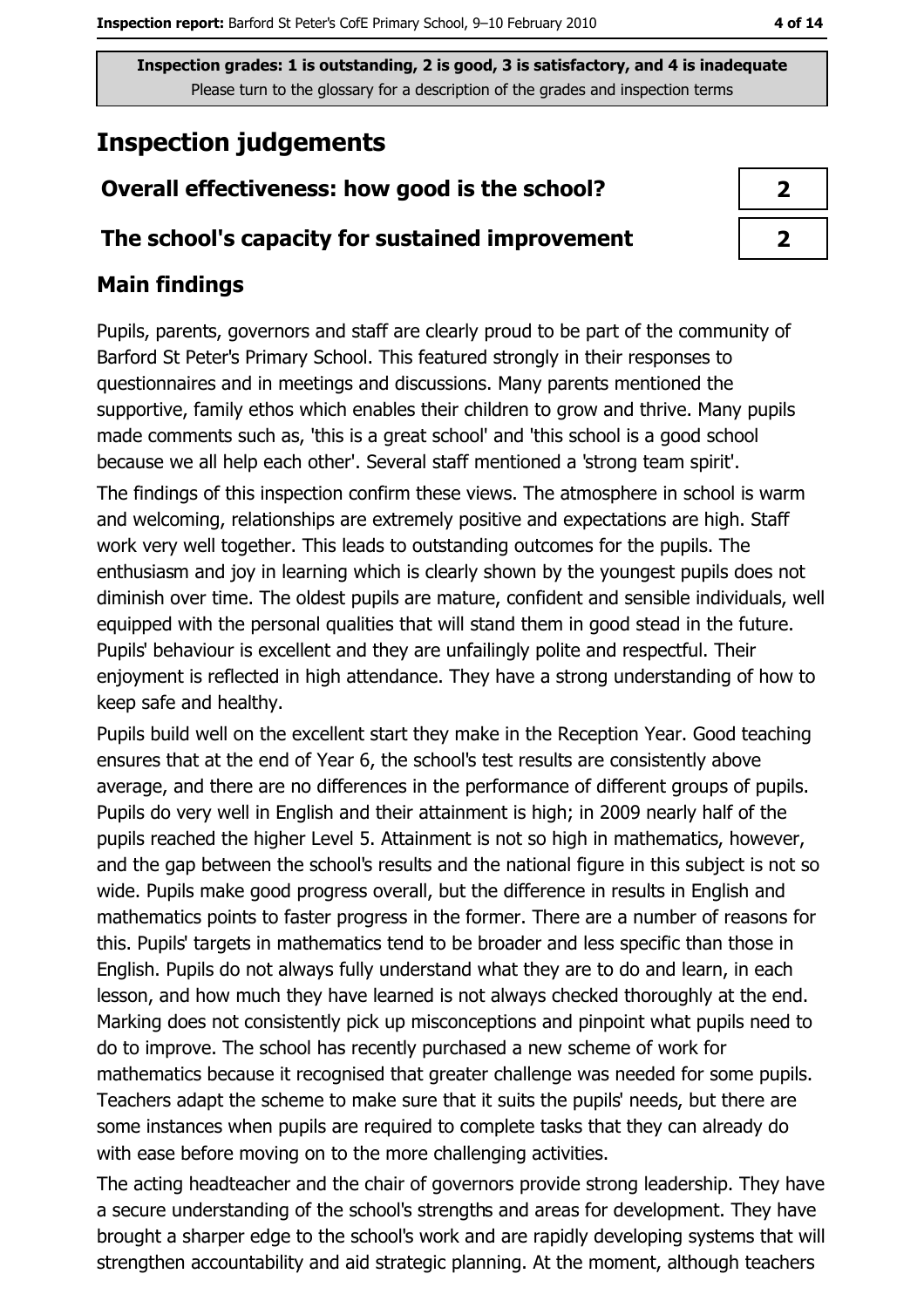# **Inspection judgements**

#### Overall effectiveness: how good is the school?

#### The school's capacity for sustained improvement

#### **Main findings**

Pupils, parents, governors and staff are clearly proud to be part of the community of Barford St Peter's Primary School. This featured strongly in their responses to questionnaires and in meetings and discussions. Many parents mentioned the supportive, family ethos which enables their children to grow and thrive. Many pupils made comments such as, 'this is a great school' and 'this school is a good school because we all help each other'. Several staff mentioned a 'strong team spirit'. The findings of this inspection confirm these views. The atmosphere in school is warm and welcoming, relationships are extremely positive and expectations are high. Staff work very well together. This leads to outstanding outcomes for the pupils. The enthusiasm and joy in learning which is clearly shown by the youngest pupils does not diminish over time. The oldest pupils are mature, confident and sensible individuals, well equipped with the personal qualities that will stand them in good stead in the future. Pupils' behaviour is excellent and they are unfailingly polite and respectful. Their enjoyment is reflected in high attendance. They have a strong understanding of how to keep safe and healthy.

Pupils build well on the excellent start they make in the Reception Year. Good teaching ensures that at the end of Year 6, the school's test results are consistently above average, and there are no differences in the performance of different groups of pupils. Pupils do very well in English and their attainment is high; in 2009 nearly half of the pupils reached the higher Level 5. Attainment is not so high in mathematics, however, and the gap between the school's results and the national figure in this subject is not so wide. Pupils make good progress overall, but the difference in results in English and mathematics points to faster progress in the former. There are a number of reasons for this. Pupils' targets in mathematics tend to be broader and less specific than those in English. Pupils do not always fully understand what they are to do and learn, in each lesson, and how much they have learned is not always checked thoroughly at the end. Marking does not consistently pick up misconceptions and pinpoint what pupils need to do to improve. The school has recently purchased a new scheme of work for mathematics because it recognised that greater challenge was needed for some pupils. Teachers adapt the scheme to make sure that it suits the pupils' needs, but there are some instances when pupils are required to complete tasks that they can already do with ease before moving on to the more challenging activities.

The acting headteacher and the chair of governors provide strong leadership. They have a secure understanding of the school's strengths and areas for development. They have brought a sharper edge to the school's work and are rapidly developing systems that will strengthen accountability and aid strategic planning. At the moment, although teachers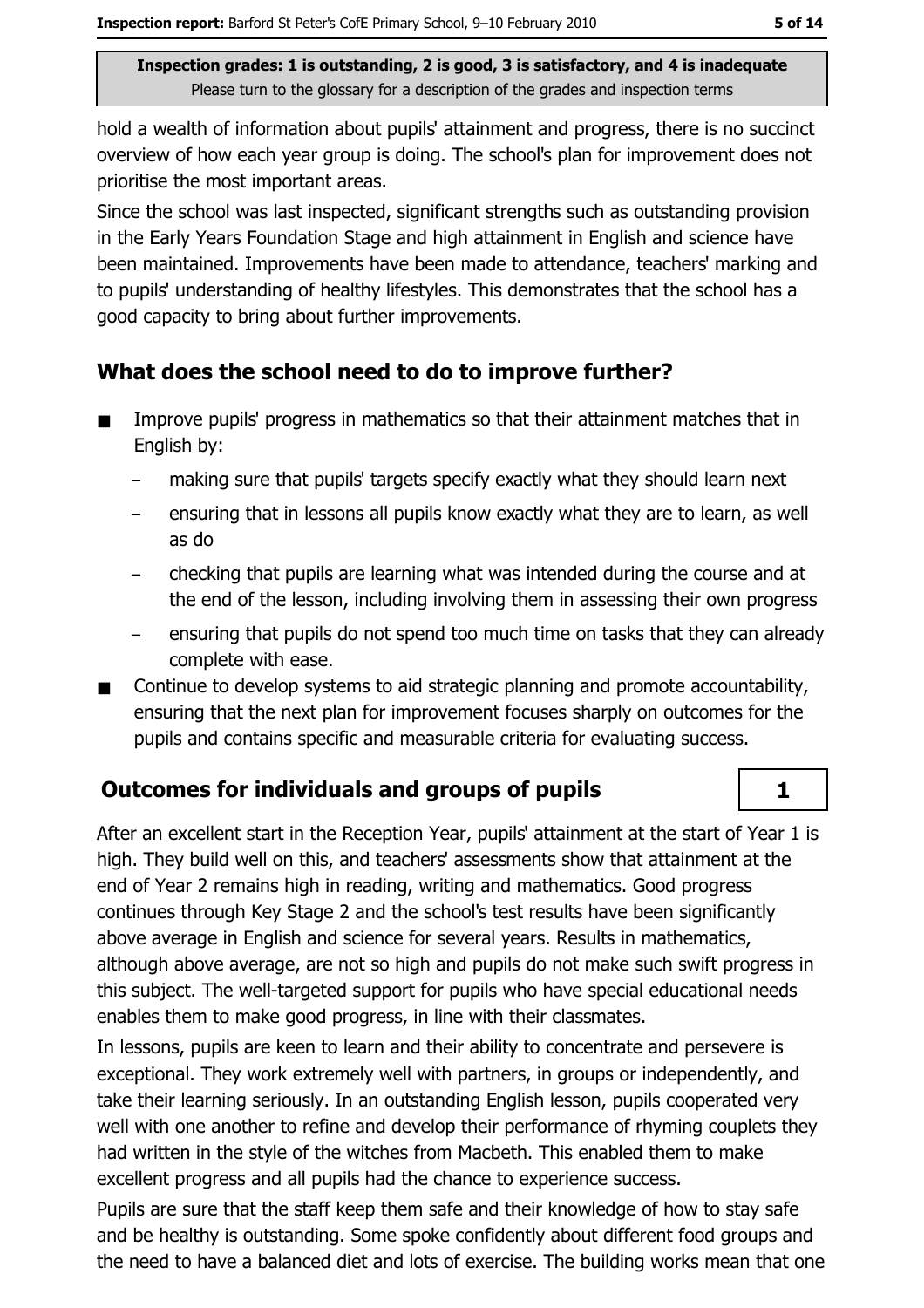hold a wealth of information about pupils' attainment and progress, there is no succinct overview of how each year group is doing. The school's plan for improvement does not prioritise the most important areas.

Since the school was last inspected, significant strengths such as outstanding provision in the Early Years Foundation Stage and high attainment in English and science have been maintained. Improvements have been made to attendance, teachers' marking and to pupils' understanding of healthy lifestyles. This demonstrates that the school has a good capacity to bring about further improvements.

## What does the school need to do to improve further?

- Improve pupils' progress in mathematics so that their attainment matches that in  $\blacksquare$ English by:
	- making sure that pupils' targets specify exactly what they should learn next
	- ensuring that in lessons all pupils know exactly what they are to learn, as well as do
	- checking that pupils are learning what was intended during the course and at the end of the lesson, including involving them in assessing their own progress
	- ensuring that pupils do not spend too much time on tasks that they can already complete with ease.
- Continue to develop systems to aid strategic planning and promote accountability,  $\blacksquare$ ensuring that the next plan for improvement focuses sharply on outcomes for the pupils and contains specific and measurable criteria for evaluating success.

## Outcomes for individuals and groups of pupils

After an excellent start in the Reception Year, pupils' attainment at the start of Year 1 is high. They build well on this, and teachers' assessments show that attainment at the end of Year 2 remains high in reading, writing and mathematics. Good progress continues through Key Stage 2 and the school's test results have been significantly above average in English and science for several years. Results in mathematics, although above average, are not so high and pupils do not make such swift progress in this subject. The well-targeted support for pupils who have special educational needs enables them to make good progress, in line with their classmates.

In lessons, pupils are keen to learn and their ability to concentrate and persevere is exceptional. They work extremely well with partners, in groups or independently, and take their learning seriously. In an outstanding English lesson, pupils cooperated very well with one another to refine and develop their performance of rhyming couplets they had written in the style of the witches from Macbeth. This enabled them to make excellent progress and all pupils had the chance to experience success.

Pupils are sure that the staff keep them safe and their knowledge of how to stay safe and be healthy is outstanding. Some spoke confidently about different food groups and the need to have a balanced diet and lots of exercise. The building works mean that one

 $\mathbf{1}$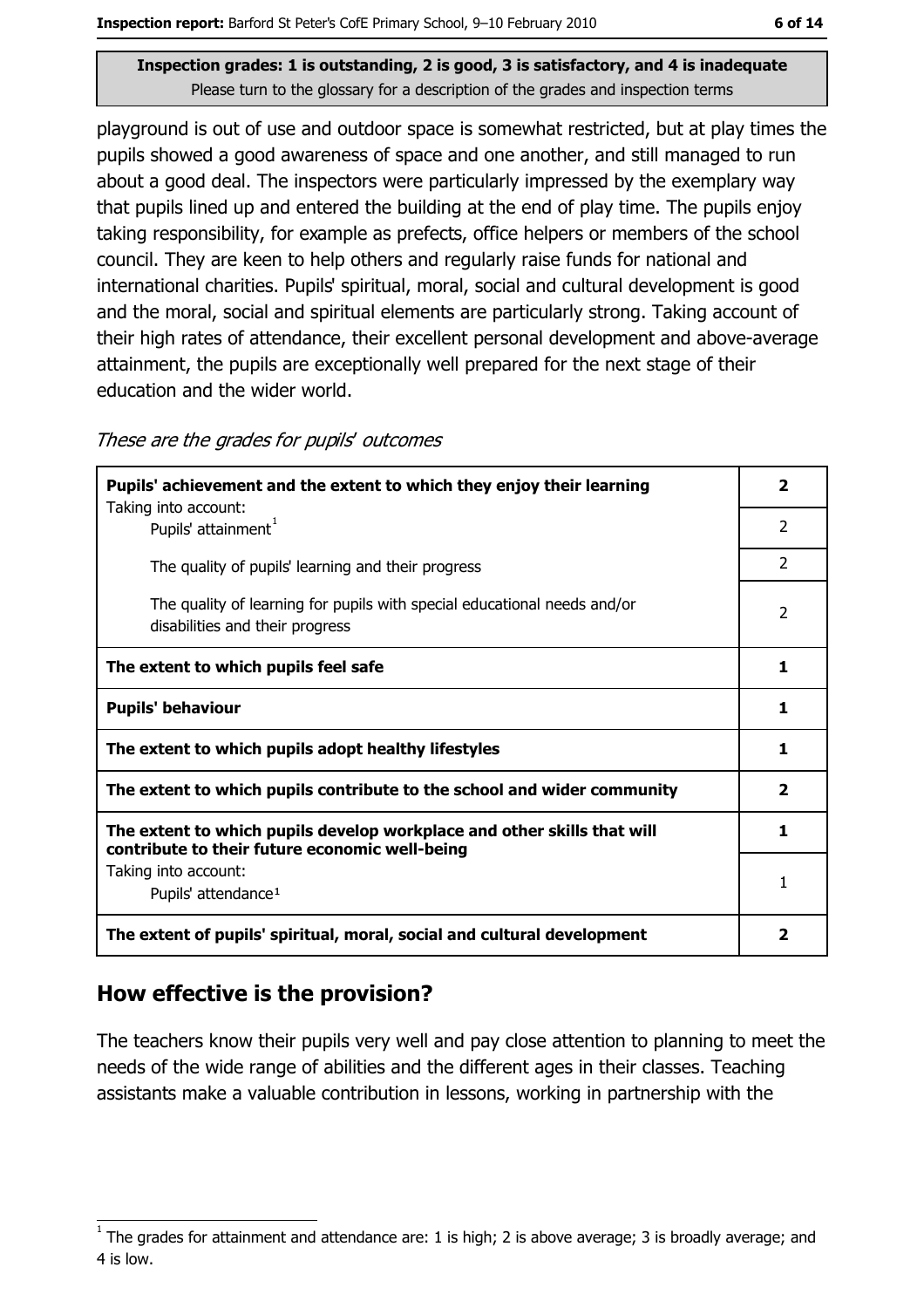playground is out of use and outdoor space is somewhat restricted, but at play times the pupils showed a good awareness of space and one another, and still managed to run about a good deal. The inspectors were particularly impressed by the exemplary way that pupils lined up and entered the building at the end of play time. The pupils enjoy taking responsibility, for example as prefects, office helpers or members of the school council. They are keen to help others and regularly raise funds for national and international charities. Pupils' spiritual, moral, social and cultural development is good and the moral, social and spiritual elements are particularly strong. Taking account of their high rates of attendance, their excellent personal development and above-average attainment, the pupils are exceptionally well prepared for the next stage of their education and the wider world.

These are the grades for pupils' outcomes

| Pupils' achievement and the extent to which they enjoy their learning                                                     | $\overline{\phantom{a}}$ |
|---------------------------------------------------------------------------------------------------------------------------|--------------------------|
| Taking into account:<br>Pupils' attainment <sup>1</sup>                                                                   | 2                        |
| The quality of pupils' learning and their progress                                                                        | $\mathcal{P}$            |
| The quality of learning for pupils with special educational needs and/or<br>disabilities and their progress               | $\overline{2}$           |
| The extent to which pupils feel safe                                                                                      | 1                        |
| <b>Pupils' behaviour</b>                                                                                                  | 1                        |
| The extent to which pupils adopt healthy lifestyles                                                                       | 1                        |
| The extent to which pupils contribute to the school and wider community                                                   | $\overline{2}$           |
| The extent to which pupils develop workplace and other skills that will<br>contribute to their future economic well-being | 1.                       |
| Taking into account:<br>Pupils' attendance <sup>1</sup>                                                                   |                          |
| The extent of pupils' spiritual, moral, social and cultural development                                                   | 2                        |

## How effective is the provision?

The teachers know their pupils very well and pay close attention to planning to meet the needs of the wide range of abilities and the different ages in their classes. Teaching assistants make a valuable contribution in lessons, working in partnership with the

The grades for attainment and attendance are: 1 is high; 2 is above average; 3 is broadly average; and 4 is low.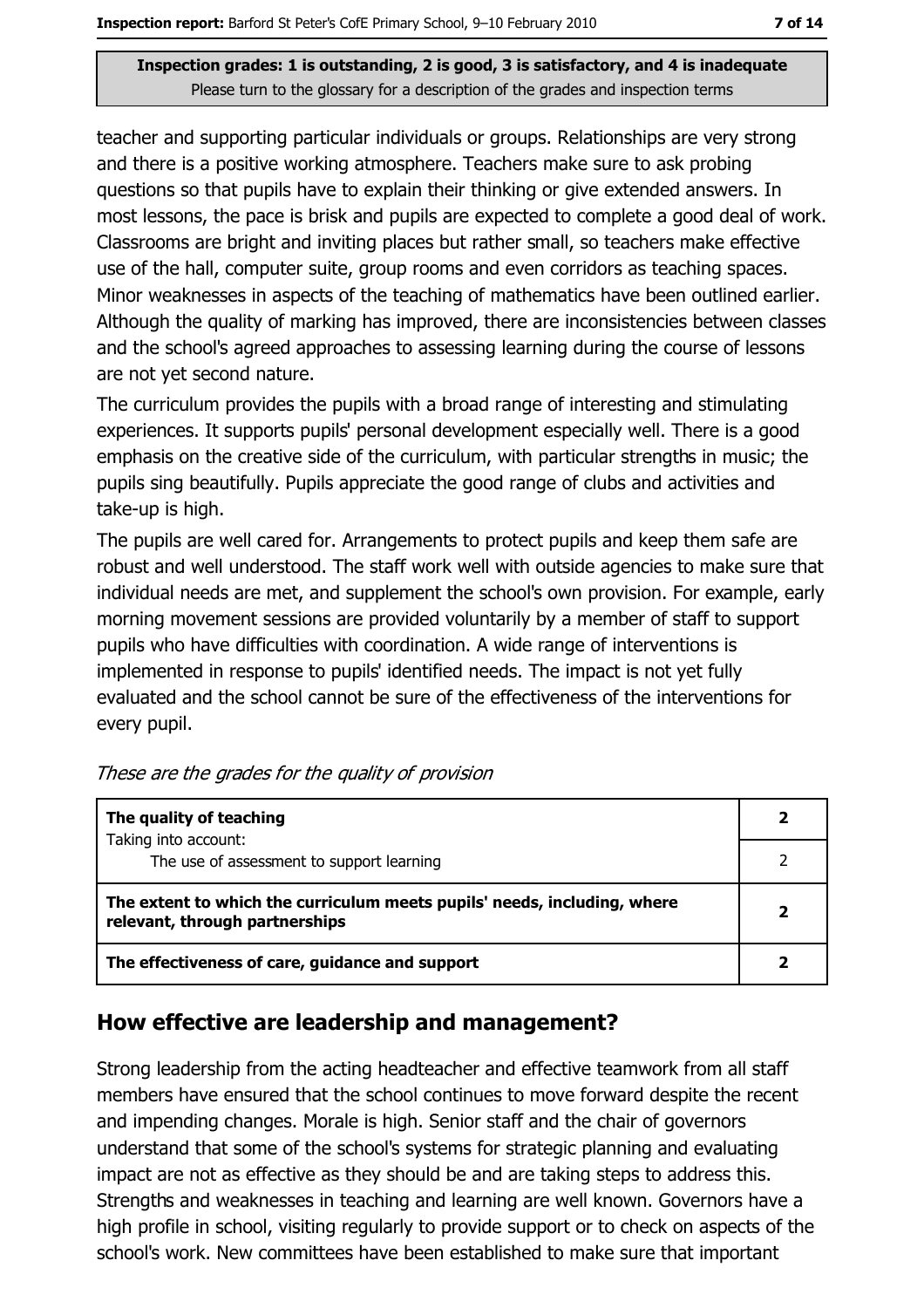teacher and supporting particular individuals or groups. Relationships are very strong and there is a positive working atmosphere. Teachers make sure to ask probing questions so that pupils have to explain their thinking or give extended answers. In most lessons, the pace is brisk and pupils are expected to complete a good deal of work. Classrooms are bright and inviting places but rather small, so teachers make effective use of the hall, computer suite, group rooms and even corridors as teaching spaces. Minor weaknesses in aspects of the teaching of mathematics have been outlined earlier. Although the quality of marking has improved, there are inconsistencies between classes and the school's agreed approaches to assessing learning during the course of lessons are not yet second nature.

The curriculum provides the pupils with a broad range of interesting and stimulating experiences. It supports pupils' personal development especially well. There is a good emphasis on the creative side of the curriculum, with particular strengths in music; the pupils sing beautifully. Pupils appreciate the good range of clubs and activities and take-up is high.

The pupils are well cared for. Arrangements to protect pupils and keep them safe are robust and well understood. The staff work well with outside agencies to make sure that individual needs are met, and supplement the school's own provision. For example, early morning movement sessions are provided voluntarily by a member of staff to support pupils who have difficulties with coordination. A wide range of interventions is implemented in response to pupils' identified needs. The impact is not yet fully evaluated and the school cannot be sure of the effectiveness of the interventions for every pupil.

| The quality of teaching                                                                                    |  |
|------------------------------------------------------------------------------------------------------------|--|
| Taking into account:<br>The use of assessment to support learning                                          |  |
| The extent to which the curriculum meets pupils' needs, including, where<br>relevant, through partnerships |  |
| The effectiveness of care, guidance and support                                                            |  |

#### How effective are leadership and management?

Strong leadership from the acting headteacher and effective teamwork from all staff members have ensured that the school continues to move forward despite the recent and impending changes. Morale is high. Senior staff and the chair of governors understand that some of the school's systems for strategic planning and evaluating impact are not as effective as they should be and are taking steps to address this. Strengths and weaknesses in teaching and learning are well known. Governors have a high profile in school, visiting regularly to provide support or to check on aspects of the school's work. New committees have been established to make sure that important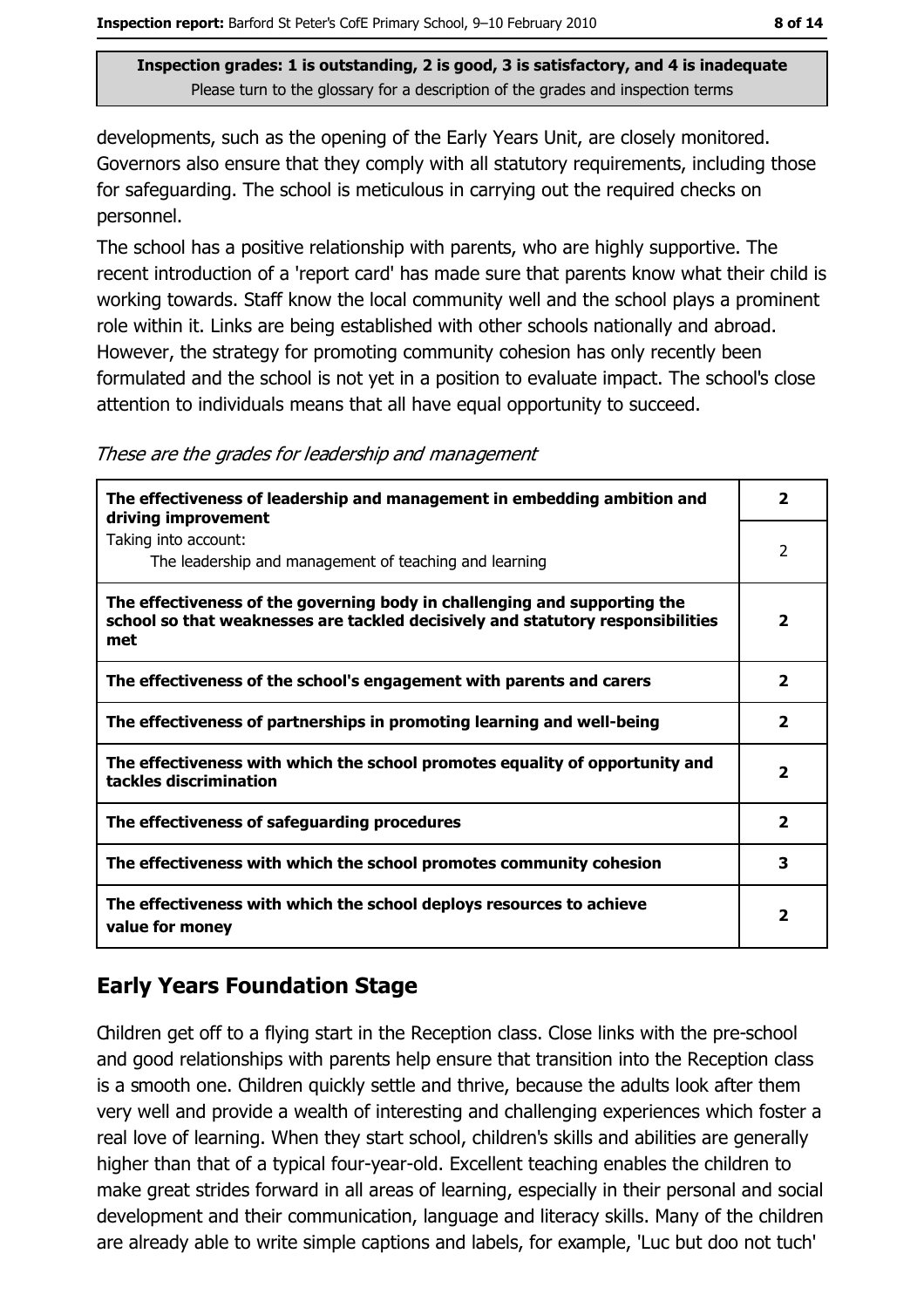developments, such as the opening of the Early Years Unit, are closely monitored. Governors also ensure that they comply with all statutory requirements, including those for safeguarding. The school is meticulous in carrying out the required checks on personnel.

The school has a positive relationship with parents, who are highly supportive. The recent introduction of a 'report card' has made sure that parents know what their child is working towards. Staff know the local community well and the school plays a prominent role within it. Links are being established with other schools nationally and abroad. However, the strategy for promoting community cohesion has only recently been formulated and the school is not yet in a position to evaluate impact. The school's close attention to individuals means that all have equal opportunity to succeed.

| These are the grades for leadership and management |  |
|----------------------------------------------------|--|

| The effectiveness of leadership and management in embedding ambition and<br>driving improvement                                                                     | 2              |
|---------------------------------------------------------------------------------------------------------------------------------------------------------------------|----------------|
| Taking into account:<br>The leadership and management of teaching and learning                                                                                      | $\overline{2}$ |
| The effectiveness of the governing body in challenging and supporting the<br>school so that weaknesses are tackled decisively and statutory responsibilities<br>met | 2              |
| The effectiveness of the school's engagement with parents and carers                                                                                                | $\mathbf{z}$   |
| The effectiveness of partnerships in promoting learning and well-being                                                                                              | $\mathbf{2}$   |
| The effectiveness with which the school promotes equality of opportunity and<br>tackles discrimination                                                              | $\mathbf{z}$   |
| The effectiveness of safeguarding procedures                                                                                                                        | $\mathbf{2}$   |
| The effectiveness with which the school promotes community cohesion                                                                                                 | 3              |
| The effectiveness with which the school deploys resources to achieve<br>value for money                                                                             | 2              |

## **Early Years Foundation Stage**

Children get off to a flying start in the Reception class. Close links with the pre-school and good relationships with parents help ensure that transition into the Reception class is a smooth one. Children quickly settle and thrive, because the adults look after them very well and provide a wealth of interesting and challenging experiences which foster a real love of learning. When they start school, children's skills and abilities are generally higher than that of a typical four-year-old. Excellent teaching enables the children to make great strides forward in all areas of learning, especially in their personal and social development and their communication, language and literacy skills. Many of the children are already able to write simple captions and labels, for example, 'Luc but doo not tuch'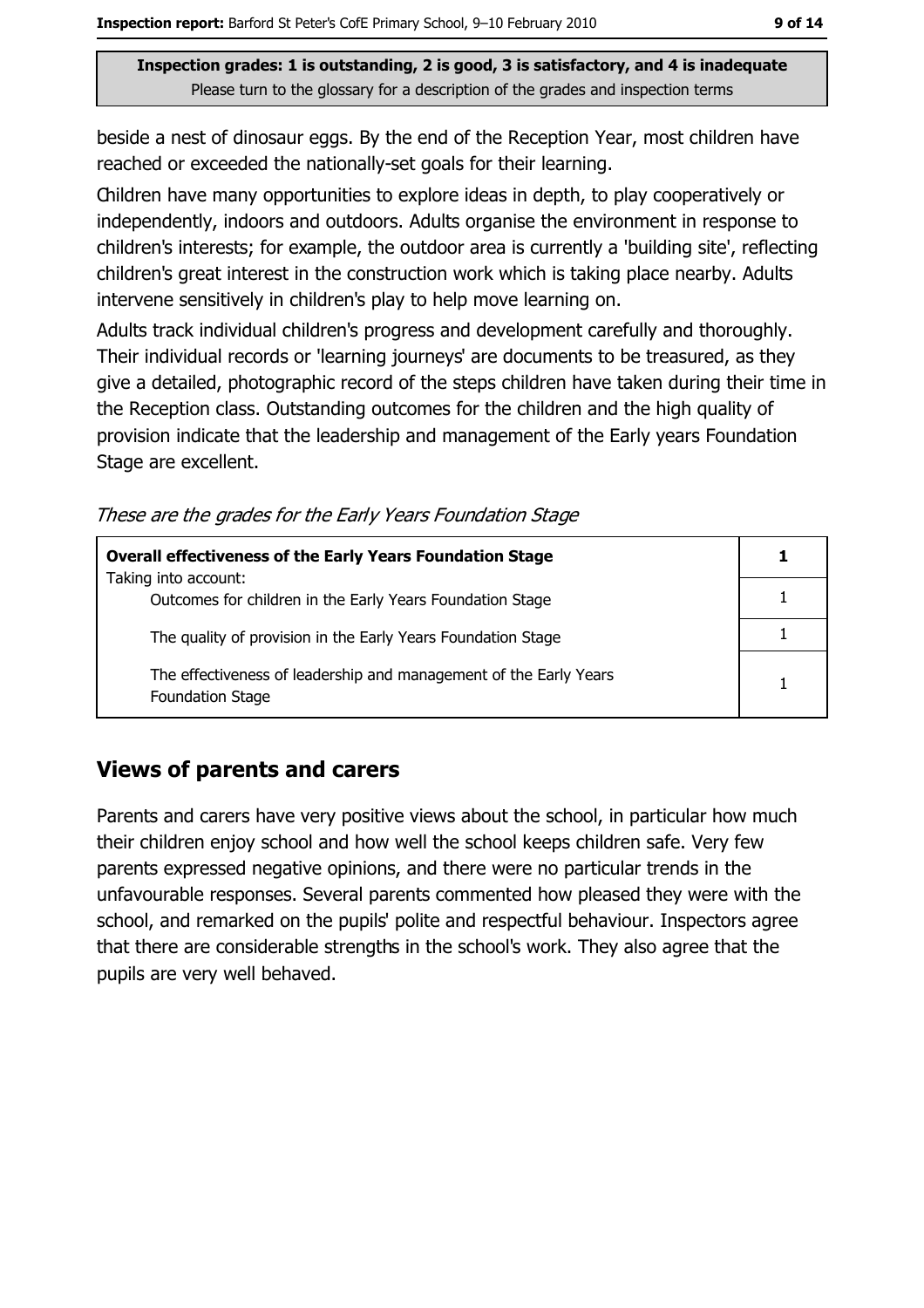beside a nest of dinosaur eggs. By the end of the Reception Year, most children have reached or exceeded the nationally-set goals for their learning.

Children have many opportunities to explore ideas in depth, to play cooperatively or independently, indoors and outdoors. Adults organise the environment in response to children's interests; for example, the outdoor area is currently a 'building site', reflecting children's great interest in the construction work which is taking place nearby. Adults intervene sensitively in children's play to help move learning on.

Adults track individual children's progress and development carefully and thoroughly. Their individual records or 'learning journeys' are documents to be treasured, as they give a detailed, photographic record of the steps children have taken during their time in the Reception class. Outstanding outcomes for the children and the high quality of provision indicate that the leadership and management of the Early years Foundation Stage are excellent.

These are the grades for the Early Years Foundation Stage

| <b>Overall effectiveness of the Early Years Foundation Stage</b>                             |  |
|----------------------------------------------------------------------------------------------|--|
| Taking into account:<br>Outcomes for children in the Early Years Foundation Stage            |  |
| The quality of provision in the Early Years Foundation Stage                                 |  |
| The effectiveness of leadership and management of the Early Years<br><b>Foundation Stage</b> |  |

## **Views of parents and carers**

Parents and carers have very positive views about the school, in particular how much their children enjoy school and how well the school keeps children safe. Very few parents expressed negative opinions, and there were no particular trends in the unfavourable responses. Several parents commented how pleased they were with the school, and remarked on the pupils' polite and respectful behaviour. Inspectors agree that there are considerable strengths in the school's work. They also agree that the pupils are very well behaved.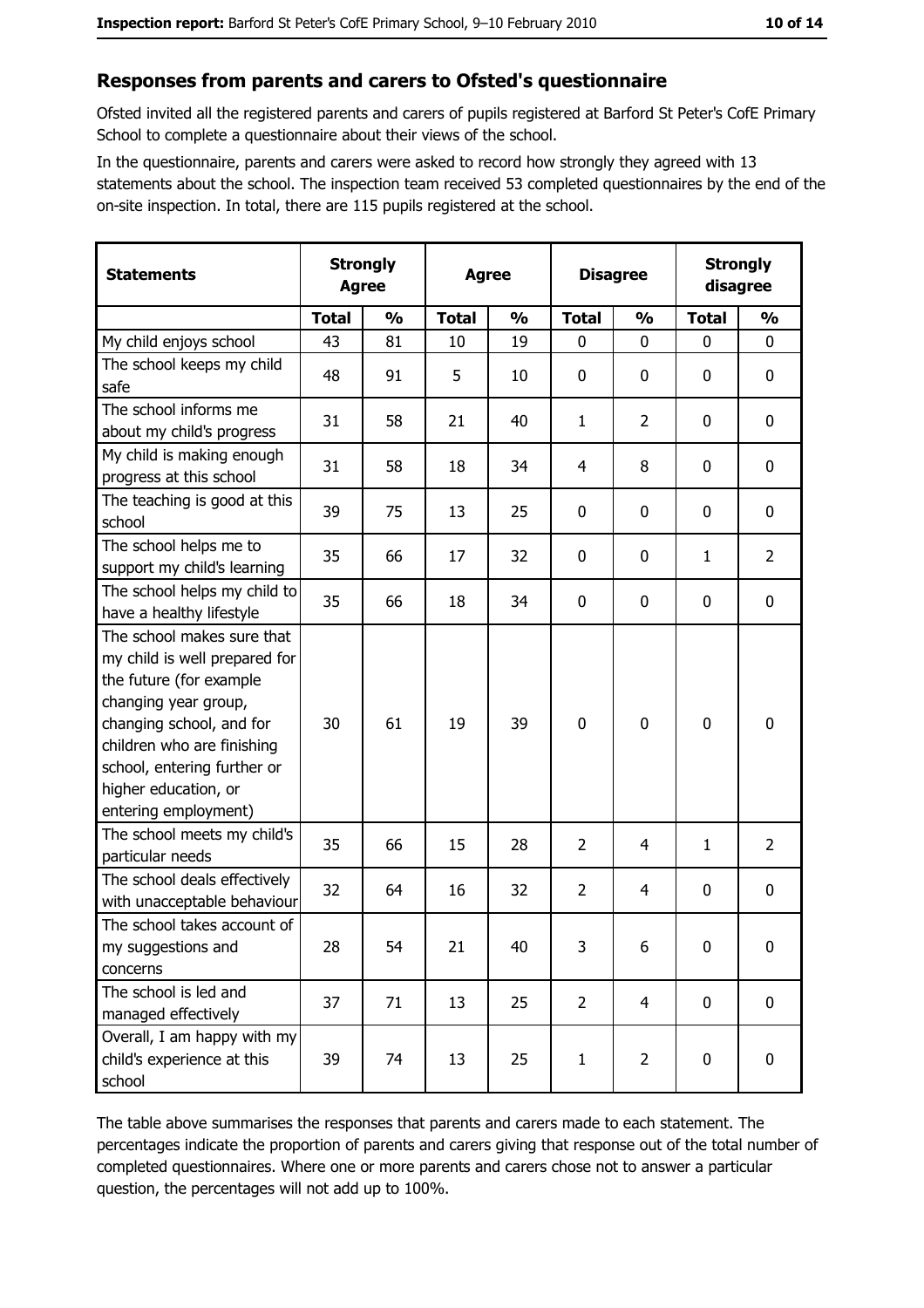#### Responses from parents and carers to Ofsted's questionnaire

Ofsted invited all the registered parents and carers of pupils registered at Barford St Peter's CofE Primary School to complete a questionnaire about their views of the school.

In the questionnaire, parents and carers were asked to record how strongly they agreed with 13 statements about the school. The inspection team received 53 completed questionnaires by the end of the on-site inspection. In total, there are 115 pupils registered at the school.

| <b>Statements</b>                                                                                                                                                                                                                                       |              | <b>Strongly</b><br><b>Agree</b><br><b>Agree</b> |              | <b>Disagree</b> |                | <b>Strongly</b><br>disagree |              |                  |
|---------------------------------------------------------------------------------------------------------------------------------------------------------------------------------------------------------------------------------------------------------|--------------|-------------------------------------------------|--------------|-----------------|----------------|-----------------------------|--------------|------------------|
|                                                                                                                                                                                                                                                         | <b>Total</b> | $\frac{0}{0}$                                   | <b>Total</b> | $\frac{0}{0}$   | <b>Total</b>   | $\frac{0}{0}$               | <b>Total</b> | $\frac{1}{2}$    |
| My child enjoys school                                                                                                                                                                                                                                  | 43           | 81                                              | 10           | 19              | $\mathbf 0$    | 0                           | 0            | 0                |
| The school keeps my child<br>safe                                                                                                                                                                                                                       | 48           | 91                                              | 5            | 10              | $\mathbf 0$    | 0                           | 0            | 0                |
| The school informs me<br>about my child's progress                                                                                                                                                                                                      | 31           | 58                                              | 21           | 40              | 1              | $\overline{2}$              | 0            | 0                |
| My child is making enough<br>progress at this school                                                                                                                                                                                                    | 31           | 58                                              | 18           | 34              | $\overline{4}$ | 8                           | 0            | $\mathbf 0$      |
| The teaching is good at this<br>school                                                                                                                                                                                                                  | 39           | 75                                              | 13           | 25              | $\mathbf 0$    | 0                           | 0            | 0                |
| The school helps me to<br>support my child's learning                                                                                                                                                                                                   | 35           | 66                                              | 17           | 32              | $\mathbf 0$    | 0                           | $\mathbf{1}$ | $\overline{2}$   |
| The school helps my child to<br>have a healthy lifestyle                                                                                                                                                                                                | 35           | 66                                              | 18           | 34              | $\bf{0}$       | 0                           | 0            | $\boldsymbol{0}$ |
| The school makes sure that<br>my child is well prepared for<br>the future (for example<br>changing year group,<br>changing school, and for<br>children who are finishing<br>school, entering further or<br>higher education, or<br>entering employment) | 30           | 61                                              | 19           | 39              | $\mathbf 0$    | 0                           | 0            | $\mathbf 0$      |
| The school meets my child's<br>particular needs                                                                                                                                                                                                         | 35           | 66                                              | 15           | 28              | $\overline{2}$ | 4                           | 1            | $\overline{2}$   |
| The school deals effectively<br>with unacceptable behaviour                                                                                                                                                                                             | 32           | 64                                              | 16           | 32              | $\overline{2}$ | 4                           | 0            | 0                |
| The school takes account of<br>my suggestions and<br>concerns                                                                                                                                                                                           | 28           | 54                                              | 21           | 40              | 3              | 6                           | 0            | $\boldsymbol{0}$ |
| The school is led and<br>managed effectively                                                                                                                                                                                                            | 37           | 71                                              | 13           | 25              | $\overline{2}$ | 4                           | $\mathbf 0$  | $\mathbf 0$      |
| Overall, I am happy with my<br>child's experience at this<br>school                                                                                                                                                                                     | 39           | 74                                              | 13           | 25              | $\mathbf{1}$   | $\overline{2}$              | 0            | 0                |

The table above summarises the responses that parents and carers made to each statement. The percentages indicate the proportion of parents and carers giving that response out of the total number of completed questionnaires. Where one or more parents and carers chose not to answer a particular question, the percentages will not add up to 100%.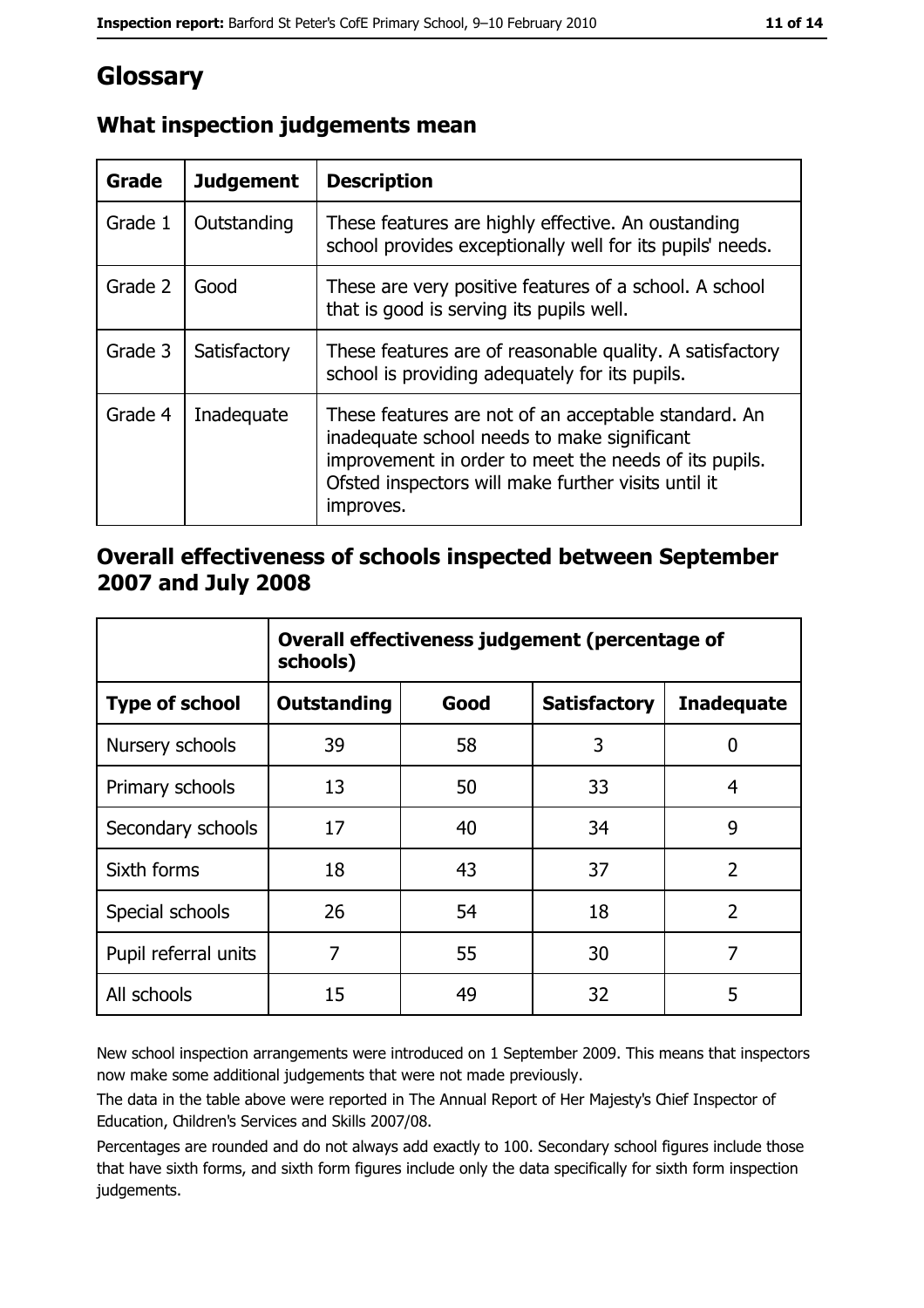# Glossary

| <b>Grade</b> | <b>Judgement</b> | <b>Description</b>                                                                                                                                                                                                               |
|--------------|------------------|----------------------------------------------------------------------------------------------------------------------------------------------------------------------------------------------------------------------------------|
| Grade 1      | Outstanding      | These features are highly effective. An oustanding<br>school provides exceptionally well for its pupils' needs.                                                                                                                  |
| Grade 2      | Good             | These are very positive features of a school. A school<br>that is good is serving its pupils well.                                                                                                                               |
| Grade 3      | Satisfactory     | These features are of reasonable quality. A satisfactory<br>school is providing adequately for its pupils.                                                                                                                       |
| Grade 4      | Inadequate       | These features are not of an acceptable standard. An<br>inadequate school needs to make significant<br>improvement in order to meet the needs of its pupils.<br>Ofsted inspectors will make further visits until it<br>improves. |

## What inspection judgements mean

#### Overall effectiveness of schools inspected between September 2007 and July 2008

|                       | Overall effectiveness judgement (percentage of<br>schools) |      |                     |                   |
|-----------------------|------------------------------------------------------------|------|---------------------|-------------------|
| <b>Type of school</b> | Outstanding                                                | Good | <b>Satisfactory</b> | <b>Inadequate</b> |
| Nursery schools       | 39                                                         | 58   | 3                   | 0                 |
| Primary schools       | 13                                                         | 50   | 33                  | 4                 |
| Secondary schools     | 17                                                         | 40   | 34                  | 9                 |
| Sixth forms           | 18                                                         | 43   | 37                  | $\overline{2}$    |
| Special schools       | 26                                                         | 54   | 18                  | $\overline{2}$    |
| Pupil referral units  | 7                                                          | 55   | 30                  | 7                 |
| All schools           | 15                                                         | 49   | 32                  | 5                 |

New school inspection arrangements were introduced on 1 September 2009. This means that inspectors now make some additional judgements that were not made previously.

The data in the table above were reported in The Annual Report of Her Majesty's Chief Inspector of Education, Children's Services and Skills 2007/08.

Percentages are rounded and do not always add exactly to 100. Secondary school figures include those that have sixth forms, and sixth form figures include only the data specifically for sixth form inspection judgements.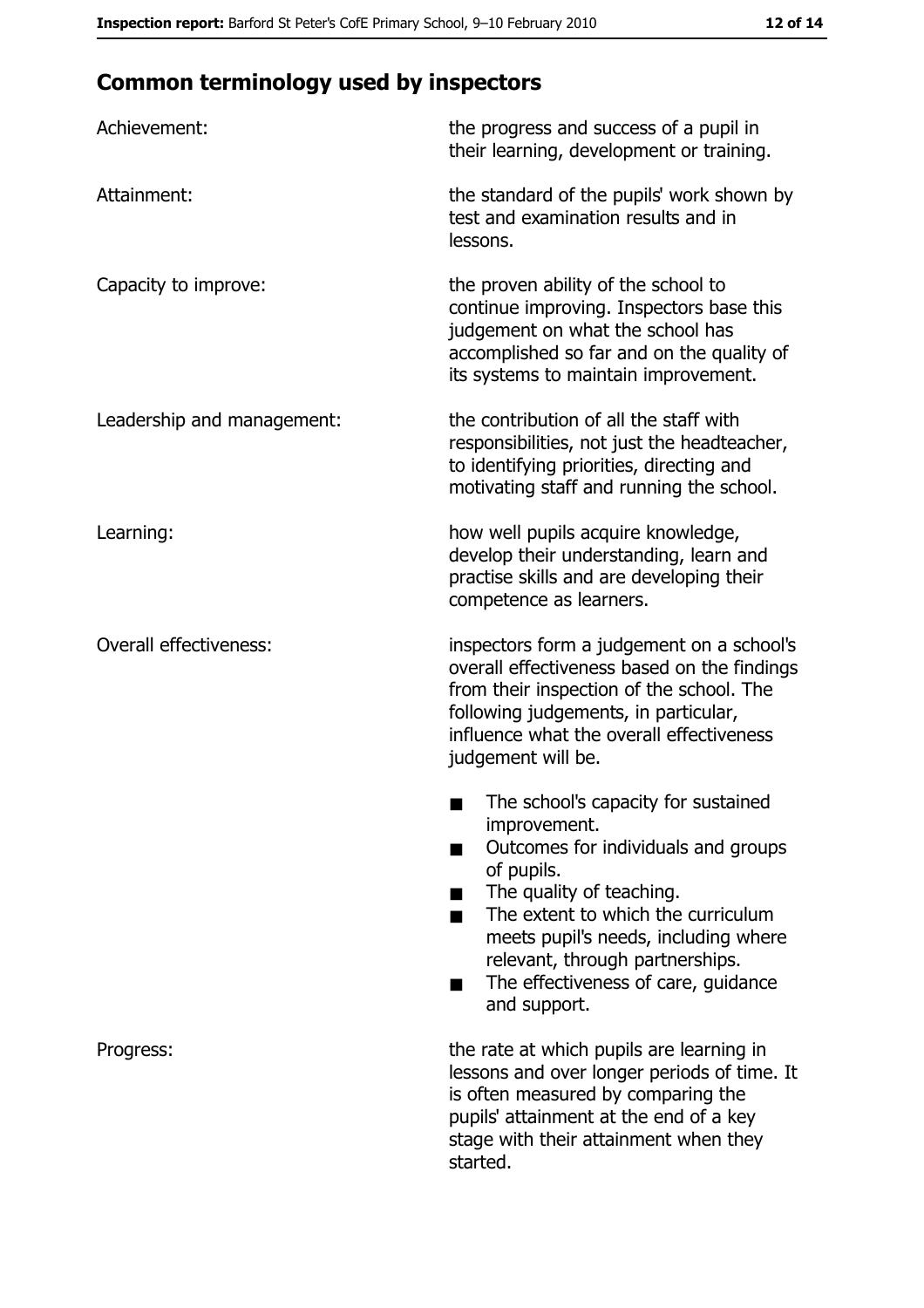# **Common terminology used by inspectors**

| Achievement:                  | the progress and success of a pupil in<br>their learning, development or training.                                                                                                                                                                                                                           |  |  |
|-------------------------------|--------------------------------------------------------------------------------------------------------------------------------------------------------------------------------------------------------------------------------------------------------------------------------------------------------------|--|--|
| Attainment:                   | the standard of the pupils' work shown by<br>test and examination results and in<br>lessons.                                                                                                                                                                                                                 |  |  |
| Capacity to improve:          | the proven ability of the school to<br>continue improving. Inspectors base this<br>judgement on what the school has<br>accomplished so far and on the quality of<br>its systems to maintain improvement.                                                                                                     |  |  |
| Leadership and management:    | the contribution of all the staff with<br>responsibilities, not just the headteacher,<br>to identifying priorities, directing and<br>motivating staff and running the school.                                                                                                                                |  |  |
| Learning:                     | how well pupils acquire knowledge,<br>develop their understanding, learn and<br>practise skills and are developing their<br>competence as learners.                                                                                                                                                          |  |  |
| <b>Overall effectiveness:</b> | inspectors form a judgement on a school's<br>overall effectiveness based on the findings<br>from their inspection of the school. The<br>following judgements, in particular,<br>influence what the overall effectiveness<br>judgement will be.                                                               |  |  |
|                               | The school's capacity for sustained<br>improvement.<br>Outcomes for individuals and groups<br>of pupils.<br>The quality of teaching.<br>The extent to which the curriculum<br>meets pupil's needs, including where<br>relevant, through partnerships.<br>The effectiveness of care, guidance<br>and support. |  |  |
| Progress:                     | the rate at which pupils are learning in<br>lessons and over longer periods of time. It<br>is often measured by comparing the<br>pupils' attainment at the end of a key<br>stage with their attainment when they<br>started.                                                                                 |  |  |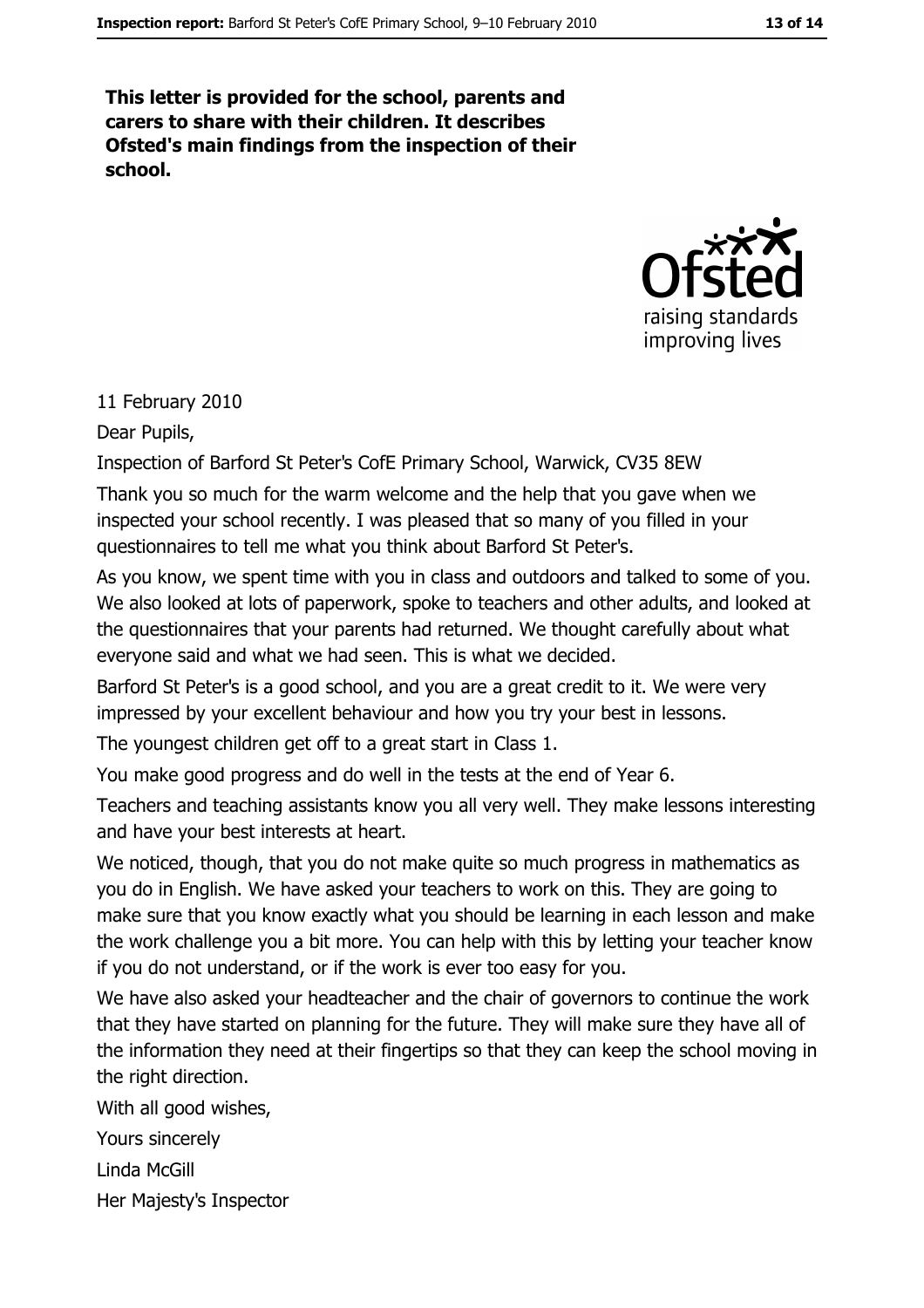This letter is provided for the school, parents and carers to share with their children. It describes Ofsted's main findings from the inspection of their school.



#### 11 February 2010

#### Dear Pupils,

Inspection of Barford St Peter's CofE Primary School, Warwick, CV35 8EW

Thank you so much for the warm welcome and the help that you gave when we inspected your school recently. I was pleased that so many of you filled in your questionnaires to tell me what you think about Barford St Peter's.

As you know, we spent time with you in class and outdoors and talked to some of you. We also looked at lots of paperwork, spoke to teachers and other adults, and looked at the questionnaires that your parents had returned. We thought carefully about what everyone said and what we had seen. This is what we decided.

Barford St Peter's is a good school, and you are a great credit to it. We were very impressed by your excellent behaviour and how you try your best in lessons.

The youngest children get off to a great start in Class 1.

You make good progress and do well in the tests at the end of Year 6.

Teachers and teaching assistants know you all very well. They make lessons interesting and have your best interests at heart.

We noticed, though, that you do not make quite so much progress in mathematics as you do in English. We have asked your teachers to work on this. They are going to make sure that you know exactly what you should be learning in each lesson and make the work challenge you a bit more. You can help with this by letting your teacher know if you do not understand, or if the work is ever too easy for you.

We have also asked your headteacher and the chair of governors to continue the work that they have started on planning for the future. They will make sure they have all of the information they need at their fingertips so that they can keep the school moving in the right direction.

With all good wishes,

Yours sincerely

Linda McGill

Her Majesty's Inspector